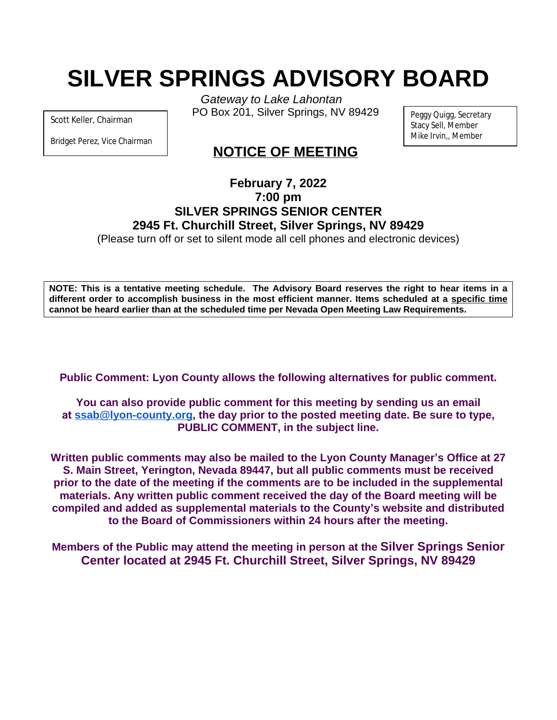# **SILVER SPRINGS ADVISORY BOARD**

Scott Keller, Chairman

Bridget Perez, Vice Chairman

*Gateway to Lake Lahontan* PO Box 201, Silver Springs, NV 89429

Peggy Quigg, Secretary Stacy Sell, Member Mike Irvin,, Member

## **NOTICE OF MEETING**

### **February 7, 2022 7:00 pm SILVER SPRINGS SENIOR CENTER 2945 Ft. Churchill Street, Silver Springs, NV 89429**

(Please turn off or set to silent mode all cell phones and electronic devices)

NOTE: This is a tentative meeting schedule. The Advisory Board reserves the right to hear items in a **different order to accomplish business in the most efficient manner. Items scheduled at a specific time cannot be heard earlier than at the scheduled time per Nevada Open Meeting Law Requirements.**

**Public Comment: Lyon County allows the following alternatives for public comment.**

**You can also provide public comment for this meeting by sending us an email at ssab@lyon-county.org, the day prior to the posted meeting date. Be sure to type, PUBLIC COMMENT, in the subject line.**

**Written public comments may also be mailed to the Lyon County Manager's Office at 27 S. Main Street, Yerington, Nevada 89447, but all public comments must be received prior to the date of the meeting if the comments are to be included in the supplemental materials. Any written public comment received the day of the Board meeting will be compiled and added as supplemental materials to the County's website and distributed to the Board of Commissioners within 24 hours after the meeting.**

**Members of the Public may attend the meeting in person at the Silver Springs Senior Center located at 2945 Ft. Churchill Street, Silver Springs, NV 89429**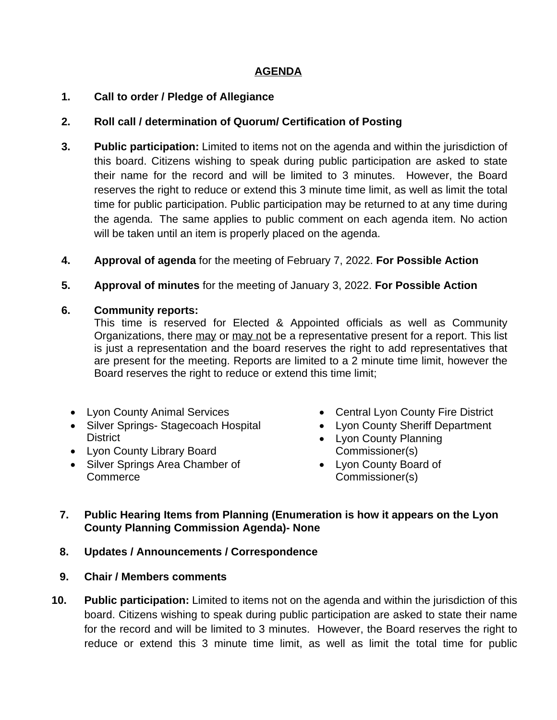#### **AGENDA**

#### **1. Call to order / Pledge of Allegiance**

### **2. Roll call / determination of Quorum/ Certification of Posting**

- **3. Public participation:** Limited to items not on the agenda and within the jurisdiction of this board. Citizens wishing to speak during public participation are asked to state their name for the record and will be limited to 3 minutes. However, the Board reserves the right to reduce or extend this 3 minute time limit, as well as limit the total time for public participation. Public participation may be returned to at any time during the agenda. The same applies to public comment on each agenda item. No action will be taken until an item is properly placed on the agenda.
- **4. Approval of agenda** for the meeting of February 7, 2022. **For Possible Action**
- **5. Approval of minutes** for the meeting of January 3, 2022. **For Possible Action**

#### **6. Community reports:**

This time is reserved for Elected & Appointed officials as well as Community Organizations, there may or may not be a representative present for a report. This list is just a representation and the board reserves the right to add representatives that are present for the meeting. Reports are limited to a 2 minute time limit, however the Board reserves the right to reduce or extend this time limit;

- Lyon County Animal Services
- Silver Springs- Stagecoach Hospital **District**
- Lyon County Library Board
- Silver Springs Area Chamber of **Commerce**
- Central Lyon County Fire District
- Lyon County Sheriff Department
- Lyon County Planning Commissioner(s)
- Lyon County Board of Commissioner(s)
- **7. Public Hearing Items from Planning (Enumeration is how it appears on the Lyon County Planning Commission Agenda)- None**
- **8. Updates / Announcements / Correspondence**
- **9. Chair / Members comments**
- **10. Public participation:** Limited to items not on the agenda and within the jurisdiction of this board. Citizens wishing to speak during public participation are asked to state their name for the record and will be limited to 3 minutes. However, the Board reserves the right to reduce or extend this 3 minute time limit, as well as limit the total time for public